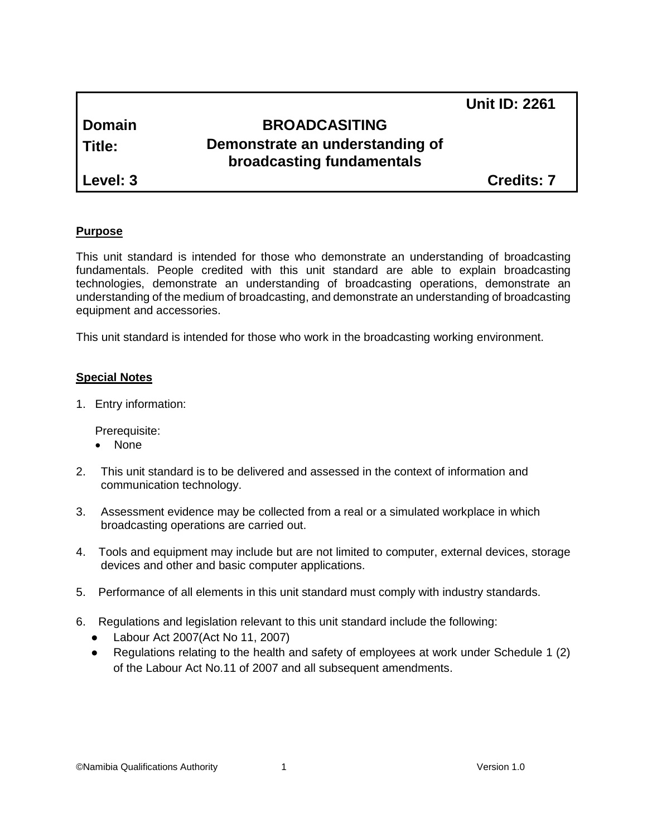|               |                                                              | <b>Unit ID: 2261</b> |
|---------------|--------------------------------------------------------------|----------------------|
| <b>Domain</b> | <b>BROADCASITING</b>                                         |                      |
| Title:        | Demonstrate an understanding of<br>broadcasting fundamentals |                      |
| Level: 3      |                                                              | <b>Credits: 7</b>    |

### **Purpose**

This unit standard is intended for those who demonstrate an understanding of broadcasting fundamentals. People credited with this unit standard are able to explain broadcasting technologies, demonstrate an understanding of broadcasting operations, demonstrate an understanding of the medium of broadcasting, and demonstrate an understanding of broadcasting equipment and accessories.

This unit standard is intended for those who work in the broadcasting working environment.

### **Special Notes**

1. Entry information:

Prerequisite:

- None
- 2. This unit standard is to be delivered and assessed in the context of information and communication technology.
- 3. Assessment evidence may be collected from a real or a simulated workplace in which broadcasting operations are carried out.
- 4. Tools and equipment may include but are not limited to computer, external devices, storage devices and other and basic computer applications.
- 5. Performance of all elements in this unit standard must comply with industry standards.
- 6. Regulations and legislation relevant to this unit standard include the following:
	- Labour Act 2007(Act No 11, 2007)
	- Regulations relating to the health and safety of employees at work under Schedule 1 (2) of the Labour Act No.11 of 2007 and all subsequent amendments.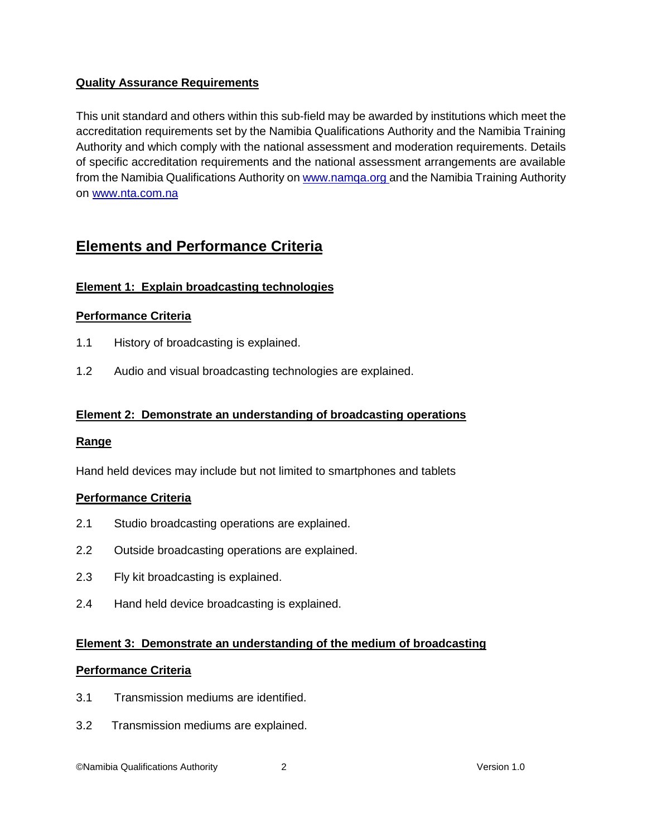# **Quality Assurance Requirements**

This unit standard and others within this sub-field may be awarded by institutions which meet the accreditation requirements set by the Namibia Qualifications Authority and the Namibia Training Authority and which comply with the national assessment and moderation requirements. Details of specific accreditation requirements and the national assessment arrangements are available from the Namibia Qualifications Authority o[n www.namqa.org a](http://www.namqa.org/)nd the Namibia Training Authority on [www.nta.com.na](http://www.nta.com.na/)

# **Elements and Performance Criteria**

# **Element 1: Explain broadcasting technologies**

## **Performance Criteria**

- 1.1 History of broadcasting is explained.
- 1.2 Audio and visual broadcasting technologies are explained.

## **Element 2: Demonstrate an understanding of broadcasting operations**

#### **Range**

Hand held devices may include but not limited to smartphones and tablets

#### **Performance Criteria**

- 2.1 Studio broadcasting operations are explained.
- 2.2 Outside broadcasting operations are explained.
- 2.3 Fly kit broadcasting is explained.
- 2.4 Hand held device broadcasting is explained.

#### **Element 3: Demonstrate an understanding of the medium of broadcasting**

#### **Performance Criteria**

- 3.1 Transmission mediums are identified.
- 3.2 Transmission mediums are explained.